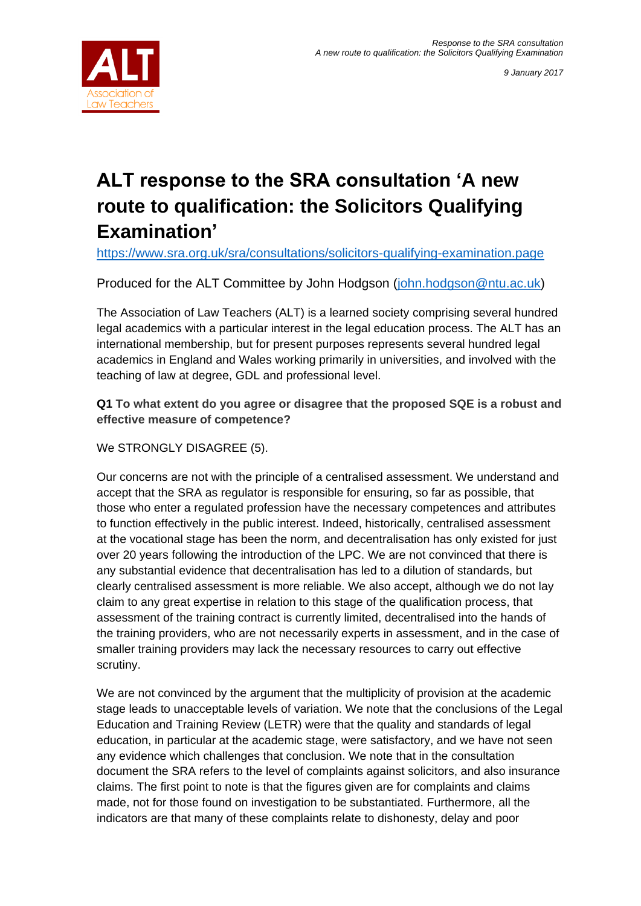



# **ALT response to the SRA consultation 'A new route to qualification: the Solicitors Qualifying Examination'**

<https://www.sra.org.uk/sra/consultations/solicitors-qualifying-examination.page>

Produced for the ALT Committee by John Hodgson [\(john.hodgson@ntu.ac.uk\)](mailto:john.hodgson@ntu.ac.uk)

The Association of Law Teachers (ALT) is a learned society comprising several hundred legal academics with a particular interest in the legal education process. The ALT has an international membership, but for present purposes represents several hundred legal academics in England and Wales working primarily in universities, and involved with the teaching of law at degree, GDL and professional level.

**Q1 To what extent do you agree or disagree that the proposed SQE is a robust and effective measure of competence?**

We STRONGLY DISAGREE (5).

Our concerns are not with the principle of a centralised assessment. We understand and accept that the SRA as regulator is responsible for ensuring, so far as possible, that those who enter a regulated profession have the necessary competences and attributes to function effectively in the public interest. Indeed, historically, centralised assessment at the vocational stage has been the norm, and decentralisation has only existed for just over 20 years following the introduction of the LPC. We are not convinced that there is any substantial evidence that decentralisation has led to a dilution of standards, but clearly centralised assessment is more reliable. We also accept, although we do not lay claim to any great expertise in relation to this stage of the qualification process, that assessment of the training contract is currently limited, decentralised into the hands of the training providers, who are not necessarily experts in assessment, and in the case of smaller training providers may lack the necessary resources to carry out effective scrutiny.

We are not convinced by the argument that the multiplicity of provision at the academic stage leads to unacceptable levels of variation. We note that the conclusions of the Legal Education and Training Review (LETR) were that the quality and standards of legal education, in particular at the academic stage, were satisfactory, and we have not seen any evidence which challenges that conclusion. We note that in the consultation document the SRA refers to the level of complaints against solicitors, and also insurance claims. The first point to note is that the figures given are for complaints and claims made, not for those found on investigation to be substantiated. Furthermore, all the indicators are that many of these complaints relate to dishonesty, delay and poor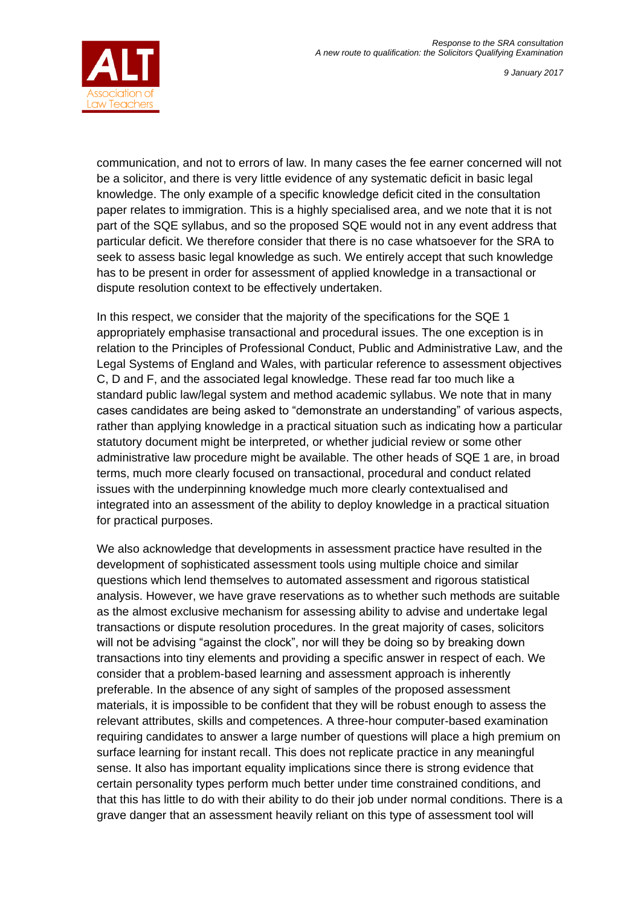

communication, and not to errors of law. In many cases the fee earner concerned will not be a solicitor, and there is very little evidence of any systematic deficit in basic legal knowledge. The only example of a specific knowledge deficit cited in the consultation paper relates to immigration. This is a highly specialised area, and we note that it is not part of the SQE syllabus, and so the proposed SQE would not in any event address that particular deficit. We therefore consider that there is no case whatsoever for the SRA to seek to assess basic legal knowledge as such. We entirely accept that such knowledge has to be present in order for assessment of applied knowledge in a transactional or dispute resolution context to be effectively undertaken.

In this respect, we consider that the majority of the specifications for the SQE 1 appropriately emphasise transactional and procedural issues. The one exception is in relation to the Principles of Professional Conduct, Public and Administrative Law, and the Legal Systems of England and Wales, with particular reference to assessment objectives C, D and F, and the associated legal knowledge. These read far too much like a standard public law/legal system and method academic syllabus. We note that in many cases candidates are being asked to "demonstrate an understanding" of various aspects, rather than applying knowledge in a practical situation such as indicating how a particular statutory document might be interpreted, or whether judicial review or some other administrative law procedure might be available. The other heads of SQE 1 are, in broad terms, much more clearly focused on transactional, procedural and conduct related issues with the underpinning knowledge much more clearly contextualised and integrated into an assessment of the ability to deploy knowledge in a practical situation for practical purposes.

We also acknowledge that developments in assessment practice have resulted in the development of sophisticated assessment tools using multiple choice and similar questions which lend themselves to automated assessment and rigorous statistical analysis. However, we have grave reservations as to whether such methods are suitable as the almost exclusive mechanism for assessing ability to advise and undertake legal transactions or dispute resolution procedures. In the great majority of cases, solicitors will not be advising "against the clock", nor will they be doing so by breaking down transactions into tiny elements and providing a specific answer in respect of each. We consider that a problem-based learning and assessment approach is inherently preferable. In the absence of any sight of samples of the proposed assessment materials, it is impossible to be confident that they will be robust enough to assess the relevant attributes, skills and competences. A three-hour computer-based examination requiring candidates to answer a large number of questions will place a high premium on surface learning for instant recall. This does not replicate practice in any meaningful sense. It also has important equality implications since there is strong evidence that certain personality types perform much better under time constrained conditions, and that this has little to do with their ability to do their job under normal conditions. There is a grave danger that an assessment heavily reliant on this type of assessment tool will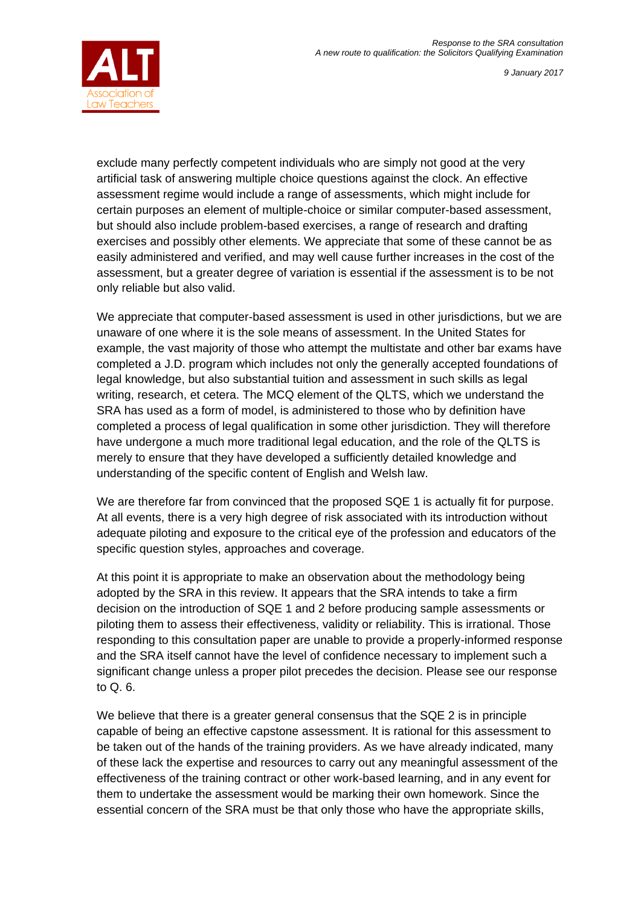

exclude many perfectly competent individuals who are simply not good at the very artificial task of answering multiple choice questions against the clock. An effective assessment regime would include a range of assessments, which might include for certain purposes an element of multiple-choice or similar computer-based assessment, but should also include problem-based exercises, a range of research and drafting exercises and possibly other elements. We appreciate that some of these cannot be as easily administered and verified, and may well cause further increases in the cost of the assessment, but a greater degree of variation is essential if the assessment is to be not only reliable but also valid.

We appreciate that computer-based assessment is used in other jurisdictions, but we are unaware of one where it is the sole means of assessment. In the United States for example, the vast majority of those who attempt the multistate and other bar exams have completed a J.D. program which includes not only the generally accepted foundations of legal knowledge, but also substantial tuition and assessment in such skills as legal writing, research, et cetera. The MCQ element of the QLTS, which we understand the SRA has used as a form of model, is administered to those who by definition have completed a process of legal qualification in some other jurisdiction. They will therefore have undergone a much more traditional legal education, and the role of the QLTS is merely to ensure that they have developed a sufficiently detailed knowledge and understanding of the specific content of English and Welsh law.

We are therefore far from convinced that the proposed SQE 1 is actually fit for purpose. At all events, there is a very high degree of risk associated with its introduction without adequate piloting and exposure to the critical eye of the profession and educators of the specific question styles, approaches and coverage.

At this point it is appropriate to make an observation about the methodology being adopted by the SRA in this review. It appears that the SRA intends to take a firm decision on the introduction of SQE 1 and 2 before producing sample assessments or piloting them to assess their effectiveness, validity or reliability. This is irrational. Those responding to this consultation paper are unable to provide a properly-informed response and the SRA itself cannot have the level of confidence necessary to implement such a significant change unless a proper pilot precedes the decision. Please see our response to Q. 6.

We believe that there is a greater general consensus that the SQE 2 is in principle capable of being an effective capstone assessment. It is rational for this assessment to be taken out of the hands of the training providers. As we have already indicated, many of these lack the expertise and resources to carry out any meaningful assessment of the effectiveness of the training contract or other work-based learning, and in any event for them to undertake the assessment would be marking their own homework. Since the essential concern of the SRA must be that only those who have the appropriate skills,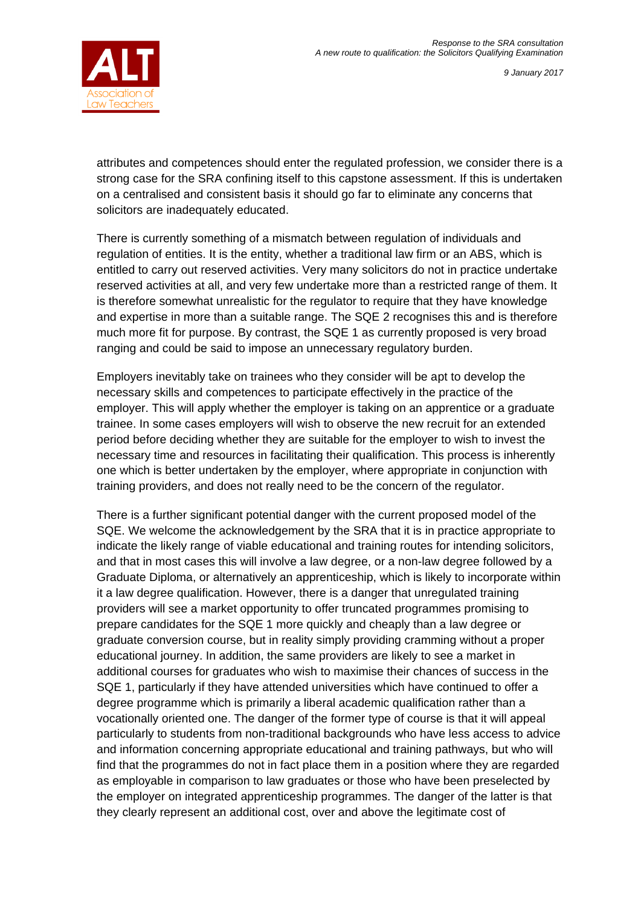

attributes and competences should enter the regulated profession, we consider there is a strong case for the SRA confining itself to this capstone assessment. If this is undertaken on a centralised and consistent basis it should go far to eliminate any concerns that solicitors are inadequately educated.

There is currently something of a mismatch between regulation of individuals and regulation of entities. It is the entity, whether a traditional law firm or an ABS, which is entitled to carry out reserved activities. Very many solicitors do not in practice undertake reserved activities at all, and very few undertake more than a restricted range of them. It is therefore somewhat unrealistic for the regulator to require that they have knowledge and expertise in more than a suitable range. The SQE 2 recognises this and is therefore much more fit for purpose. By contrast, the SQE 1 as currently proposed is very broad ranging and could be said to impose an unnecessary regulatory burden.

Employers inevitably take on trainees who they consider will be apt to develop the necessary skills and competences to participate effectively in the practice of the employer. This will apply whether the employer is taking on an apprentice or a graduate trainee. In some cases employers will wish to observe the new recruit for an extended period before deciding whether they are suitable for the employer to wish to invest the necessary time and resources in facilitating their qualification. This process is inherently one which is better undertaken by the employer, where appropriate in conjunction with training providers, and does not really need to be the concern of the regulator.

There is a further significant potential danger with the current proposed model of the SQE. We welcome the acknowledgement by the SRA that it is in practice appropriate to indicate the likely range of viable educational and training routes for intending solicitors, and that in most cases this will involve a law degree, or a non-law degree followed by a Graduate Diploma, or alternatively an apprenticeship, which is likely to incorporate within it a law degree qualification. However, there is a danger that unregulated training providers will see a market opportunity to offer truncated programmes promising to prepare candidates for the SQE 1 more quickly and cheaply than a law degree or graduate conversion course, but in reality simply providing cramming without a proper educational journey. In addition, the same providers are likely to see a market in additional courses for graduates who wish to maximise their chances of success in the SQE 1, particularly if they have attended universities which have continued to offer a degree programme which is primarily a liberal academic qualification rather than a vocationally oriented one. The danger of the former type of course is that it will appeal particularly to students from non-traditional backgrounds who have less access to advice and information concerning appropriate educational and training pathways, but who will find that the programmes do not in fact place them in a position where they are regarded as employable in comparison to law graduates or those who have been preselected by the employer on integrated apprenticeship programmes. The danger of the latter is that they clearly represent an additional cost, over and above the legitimate cost of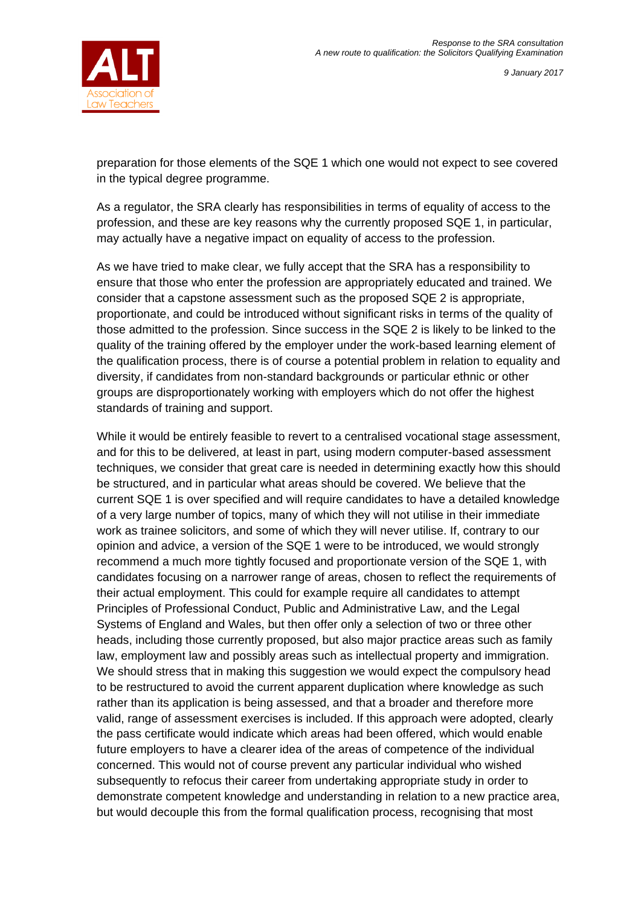

preparation for those elements of the SQE 1 which one would not expect to see covered in the typical degree programme.

As a regulator, the SRA clearly has responsibilities in terms of equality of access to the profession, and these are key reasons why the currently proposed SQE 1, in particular, may actually have a negative impact on equality of access to the profession.

As we have tried to make clear, we fully accept that the SRA has a responsibility to ensure that those who enter the profession are appropriately educated and trained. We consider that a capstone assessment such as the proposed SQE 2 is appropriate, proportionate, and could be introduced without significant risks in terms of the quality of those admitted to the profession. Since success in the SQE 2 is likely to be linked to the quality of the training offered by the employer under the work-based learning element of the qualification process, there is of course a potential problem in relation to equality and diversity, if candidates from non-standard backgrounds or particular ethnic or other groups are disproportionately working with employers which do not offer the highest standards of training and support.

While it would be entirely feasible to revert to a centralised vocational stage assessment, and for this to be delivered, at least in part, using modern computer-based assessment techniques, we consider that great care is needed in determining exactly how this should be structured, and in particular what areas should be covered. We believe that the current SQE 1 is over specified and will require candidates to have a detailed knowledge of a very large number of topics, many of which they will not utilise in their immediate work as trainee solicitors, and some of which they will never utilise. If, contrary to our opinion and advice, a version of the SQE 1 were to be introduced, we would strongly recommend a much more tightly focused and proportionate version of the SQE 1, with candidates focusing on a narrower range of areas, chosen to reflect the requirements of their actual employment. This could for example require all candidates to attempt Principles of Professional Conduct, Public and Administrative Law, and the Legal Systems of England and Wales, but then offer only a selection of two or three other heads, including those currently proposed, but also major practice areas such as family law, employment law and possibly areas such as intellectual property and immigration. We should stress that in making this suggestion we would expect the compulsory head to be restructured to avoid the current apparent duplication where knowledge as such rather than its application is being assessed, and that a broader and therefore more valid, range of assessment exercises is included. If this approach were adopted, clearly the pass certificate would indicate which areas had been offered, which would enable future employers to have a clearer idea of the areas of competence of the individual concerned. This would not of course prevent any particular individual who wished subsequently to refocus their career from undertaking appropriate study in order to demonstrate competent knowledge and understanding in relation to a new practice area, but would decouple this from the formal qualification process, recognising that most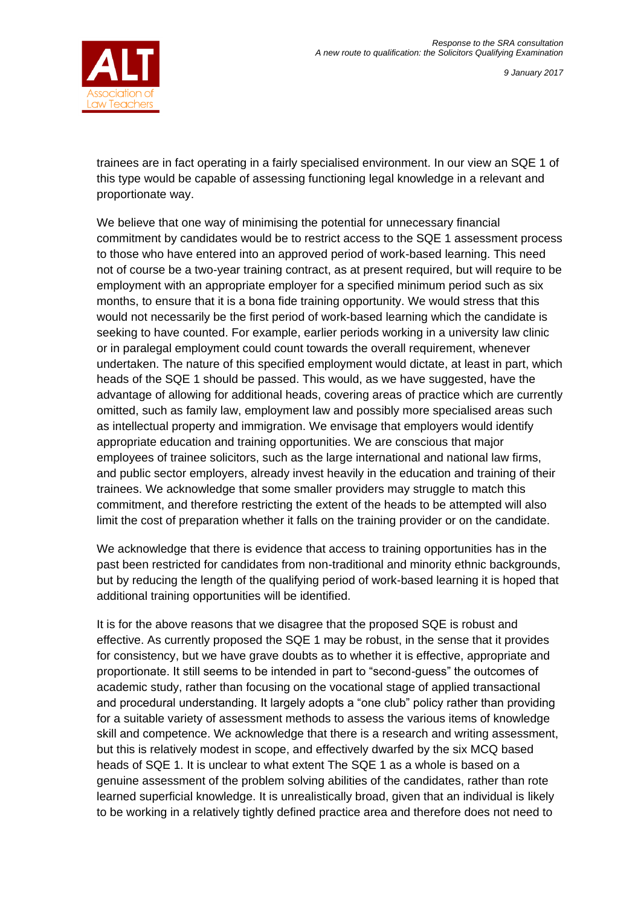

trainees are in fact operating in a fairly specialised environment. In our view an SQE 1 of this type would be capable of assessing functioning legal knowledge in a relevant and proportionate way.

We believe that one way of minimising the potential for unnecessary financial commitment by candidates would be to restrict access to the SQE 1 assessment process to those who have entered into an approved period of work-based learning. This need not of course be a two-year training contract, as at present required, but will require to be employment with an appropriate employer for a specified minimum period such as six months, to ensure that it is a bona fide training opportunity. We would stress that this would not necessarily be the first period of work-based learning which the candidate is seeking to have counted. For example, earlier periods working in a university law clinic or in paralegal employment could count towards the overall requirement, whenever undertaken. The nature of this specified employment would dictate, at least in part, which heads of the SQE 1 should be passed. This would, as we have suggested, have the advantage of allowing for additional heads, covering areas of practice which are currently omitted, such as family law, employment law and possibly more specialised areas such as intellectual property and immigration. We envisage that employers would identify appropriate education and training opportunities. We are conscious that major employees of trainee solicitors, such as the large international and national law firms, and public sector employers, already invest heavily in the education and training of their trainees. We acknowledge that some smaller providers may struggle to match this commitment, and therefore restricting the extent of the heads to be attempted will also limit the cost of preparation whether it falls on the training provider or on the candidate.

We acknowledge that there is evidence that access to training opportunities has in the past been restricted for candidates from non-traditional and minority ethnic backgrounds, but by reducing the length of the qualifying period of work-based learning it is hoped that additional training opportunities will be identified.

It is for the above reasons that we disagree that the proposed SQE is robust and effective. As currently proposed the SQE 1 may be robust, in the sense that it provides for consistency, but we have grave doubts as to whether it is effective, appropriate and proportionate. It still seems to be intended in part to "second-guess" the outcomes of academic study, rather than focusing on the vocational stage of applied transactional and procedural understanding. It largely adopts a "one club" policy rather than providing for a suitable variety of assessment methods to assess the various items of knowledge skill and competence. We acknowledge that there is a research and writing assessment, but this is relatively modest in scope, and effectively dwarfed by the six MCQ based heads of SQE 1. It is unclear to what extent The SQE 1 as a whole is based on a genuine assessment of the problem solving abilities of the candidates, rather than rote learned superficial knowledge. It is unrealistically broad, given that an individual is likely to be working in a relatively tightly defined practice area and therefore does not need to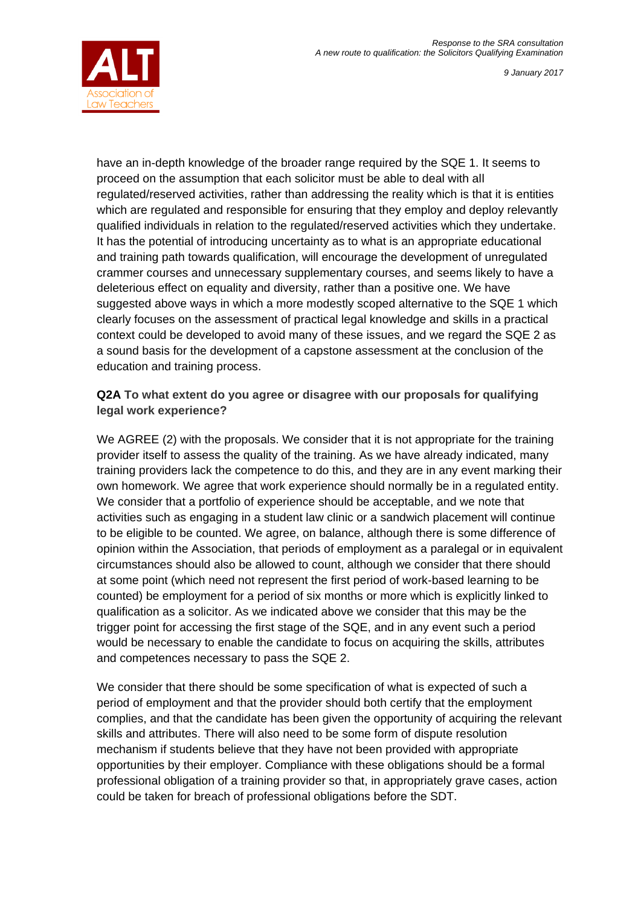

have an in-depth knowledge of the broader range required by the SQE 1. It seems to proceed on the assumption that each solicitor must be able to deal with all regulated/reserved activities, rather than addressing the reality which is that it is entities which are regulated and responsible for ensuring that they employ and deploy relevantly qualified individuals in relation to the regulated/reserved activities which they undertake. It has the potential of introducing uncertainty as to what is an appropriate educational and training path towards qualification, will encourage the development of unregulated crammer courses and unnecessary supplementary courses, and seems likely to have a deleterious effect on equality and diversity, rather than a positive one. We have suggested above ways in which a more modestly scoped alternative to the SQE 1 which clearly focuses on the assessment of practical legal knowledge and skills in a practical context could be developed to avoid many of these issues, and we regard the SQE 2 as a sound basis for the development of a capstone assessment at the conclusion of the education and training process.

#### **Q2A To what extent do you agree or disagree with our proposals for qualifying legal work experience?**

We AGREE (2) with the proposals. We consider that it is not appropriate for the training provider itself to assess the quality of the training. As we have already indicated, many training providers lack the competence to do this, and they are in any event marking their own homework. We agree that work experience should normally be in a regulated entity. We consider that a portfolio of experience should be acceptable, and we note that activities such as engaging in a student law clinic or a sandwich placement will continue to be eligible to be counted. We agree, on balance, although there is some difference of opinion within the Association, that periods of employment as a paralegal or in equivalent circumstances should also be allowed to count, although we consider that there should at some point (which need not represent the first period of work-based learning to be counted) be employment for a period of six months or more which is explicitly linked to qualification as a solicitor. As we indicated above we consider that this may be the trigger point for accessing the first stage of the SQE, and in any event such a period would be necessary to enable the candidate to focus on acquiring the skills, attributes and competences necessary to pass the SQE 2.

We consider that there should be some specification of what is expected of such a period of employment and that the provider should both certify that the employment complies, and that the candidate has been given the opportunity of acquiring the relevant skills and attributes. There will also need to be some form of dispute resolution mechanism if students believe that they have not been provided with appropriate opportunities by their employer. Compliance with these obligations should be a formal professional obligation of a training provider so that, in appropriately grave cases, action could be taken for breach of professional obligations before the SDT.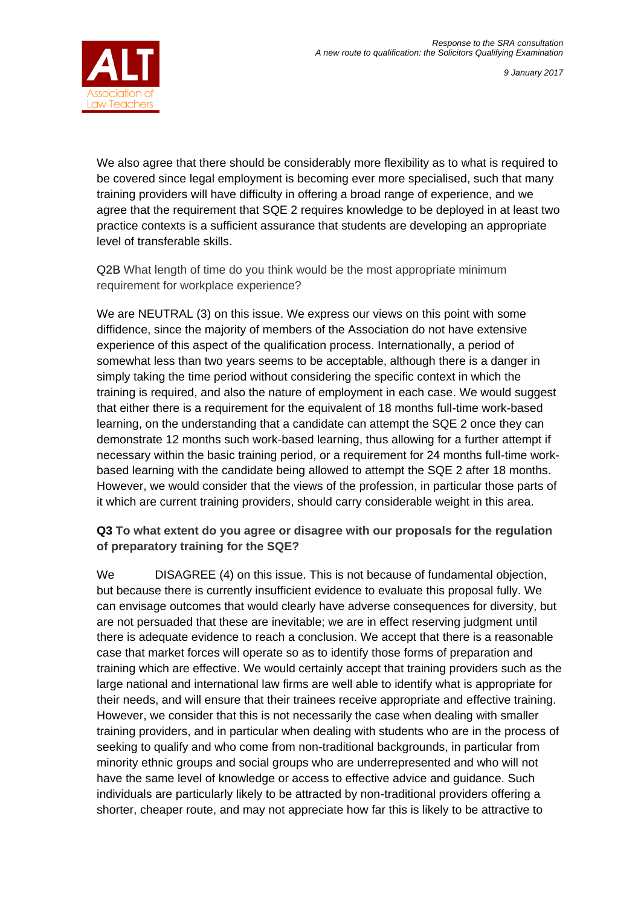

We also agree that there should be considerably more flexibility as to what is required to be covered since legal employment is becoming ever more specialised, such that many training providers will have difficulty in offering a broad range of experience, and we agree that the requirement that SQE 2 requires knowledge to be deployed in at least two practice contexts is a sufficient assurance that students are developing an appropriate level of transferable skills.

Q2B What length of time do you think would be the most appropriate minimum requirement for workplace experience?

We are NEUTRAL (3) on this issue. We express our views on this point with some diffidence, since the majority of members of the Association do not have extensive experience of this aspect of the qualification process. Internationally, a period of somewhat less than two years seems to be acceptable, although there is a danger in simply taking the time period without considering the specific context in which the training is required, and also the nature of employment in each case. We would suggest that either there is a requirement for the equivalent of 18 months full-time work-based learning, on the understanding that a candidate can attempt the SQE 2 once they can demonstrate 12 months such work-based learning, thus allowing for a further attempt if necessary within the basic training period, or a requirement for 24 months full-time workbased learning with the candidate being allowed to attempt the SQE 2 after 18 months. However, we would consider that the views of the profession, in particular those parts of it which are current training providers, should carry considerable weight in this area.

#### **Q3 To what extent do you agree or disagree with our proposals for the regulation of preparatory training for the SQE?**

We DISAGREE (4) on this issue. This is not because of fundamental objection, but because there is currently insufficient evidence to evaluate this proposal fully. We can envisage outcomes that would clearly have adverse consequences for diversity, but are not persuaded that these are inevitable; we are in effect reserving judgment until there is adequate evidence to reach a conclusion. We accept that there is a reasonable case that market forces will operate so as to identify those forms of preparation and training which are effective. We would certainly accept that training providers such as the large national and international law firms are well able to identify what is appropriate for their needs, and will ensure that their trainees receive appropriate and effective training. However, we consider that this is not necessarily the case when dealing with smaller training providers, and in particular when dealing with students who are in the process of seeking to qualify and who come from non-traditional backgrounds, in particular from minority ethnic groups and social groups who are underrepresented and who will not have the same level of knowledge or access to effective advice and guidance. Such individuals are particularly likely to be attracted by non-traditional providers offering a shorter, cheaper route, and may not appreciate how far this is likely to be attractive to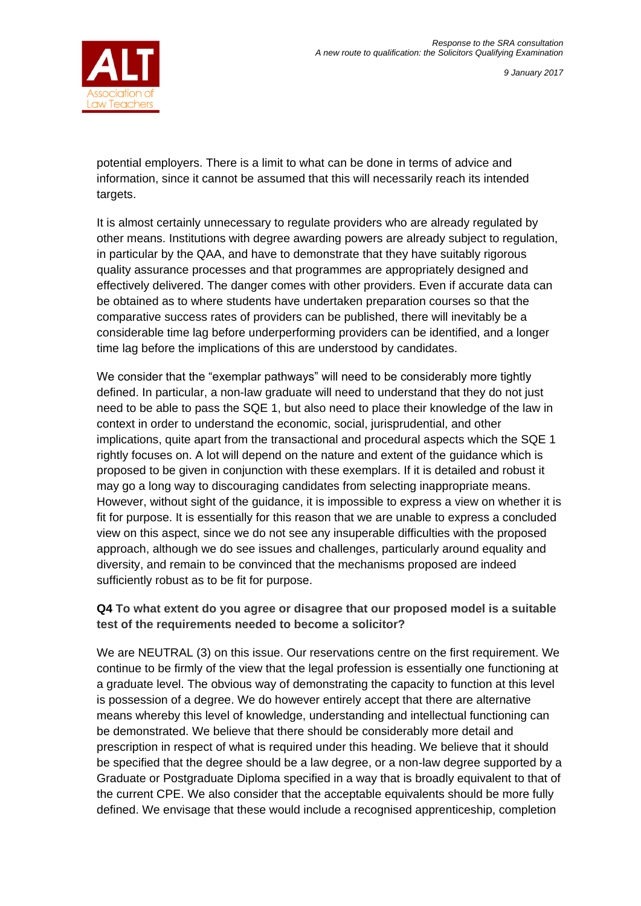

potential employers. There is a limit to what can be done in terms of advice and information, since it cannot be assumed that this will necessarily reach its intended targets.

It is almost certainly unnecessary to regulate providers who are already regulated by other means. Institutions with degree awarding powers are already subject to regulation, in particular by the QAA, and have to demonstrate that they have suitably rigorous quality assurance processes and that programmes are appropriately designed and effectively delivered. The danger comes with other providers. Even if accurate data can be obtained as to where students have undertaken preparation courses so that the comparative success rates of providers can be published, there will inevitably be a considerable time lag before underperforming providers can be identified, and a longer time lag before the implications of this are understood by candidates.

We consider that the "exemplar pathways" will need to be considerably more tightly defined. In particular, a non-law graduate will need to understand that they do not just need to be able to pass the SQE 1, but also need to place their knowledge of the law in context in order to understand the economic, social, jurisprudential, and other implications, quite apart from the transactional and procedural aspects which the SQE 1 rightly focuses on. A lot will depend on the nature and extent of the guidance which is proposed to be given in conjunction with these exemplars. If it is detailed and robust it may go a long way to discouraging candidates from selecting inappropriate means. However, without sight of the guidance, it is impossible to express a view on whether it is fit for purpose. It is essentially for this reason that we are unable to express a concluded view on this aspect, since we do not see any insuperable difficulties with the proposed approach, although we do see issues and challenges, particularly around equality and diversity, and remain to be convinced that the mechanisms proposed are indeed sufficiently robust as to be fit for purpose.

## **Q4 To what extent do you agree or disagree that our proposed model is a suitable test of the requirements needed to become a solicitor?**

We are NEUTRAL (3) on this issue. Our reservations centre on the first requirement. We continue to be firmly of the view that the legal profession is essentially one functioning at a graduate level. The obvious way of demonstrating the capacity to function at this level is possession of a degree. We do however entirely accept that there are alternative means whereby this level of knowledge, understanding and intellectual functioning can be demonstrated. We believe that there should be considerably more detail and prescription in respect of what is required under this heading. We believe that it should be specified that the degree should be a law degree, or a non-law degree supported by a Graduate or Postgraduate Diploma specified in a way that is broadly equivalent to that of the current CPE. We also consider that the acceptable equivalents should be more fully defined. We envisage that these would include a recognised apprenticeship, completion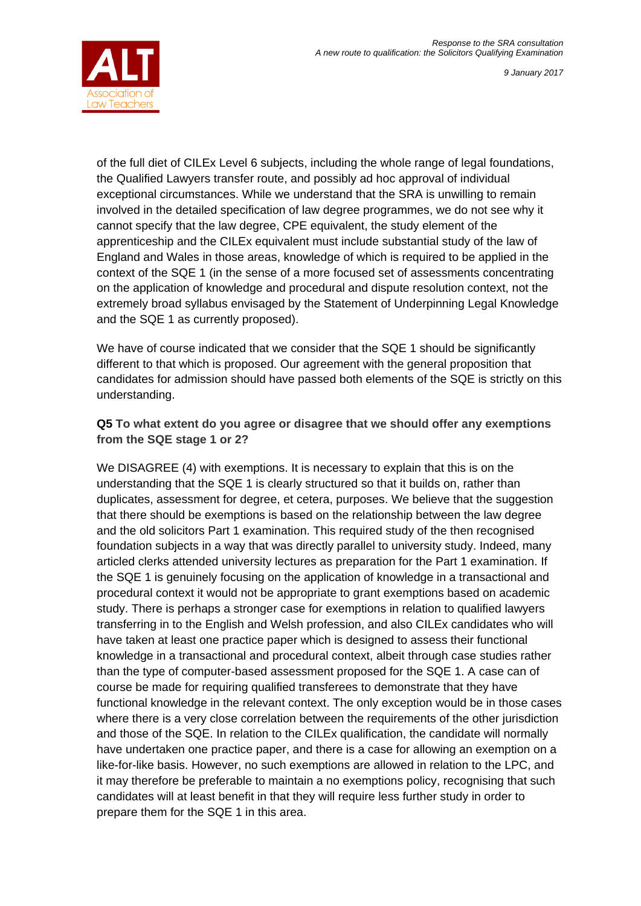

of the full diet of CILEx Level 6 subjects, including the whole range of legal foundations, the Qualified Lawyers transfer route, and possibly ad hoc approval of individual exceptional circumstances. While we understand that the SRA is unwilling to remain involved in the detailed specification of law degree programmes, we do not see why it cannot specify that the law degree, CPE equivalent, the study element of the apprenticeship and the CILEx equivalent must include substantial study of the law of England and Wales in those areas, knowledge of which is required to be applied in the context of the SQE 1 (in the sense of a more focused set of assessments concentrating on the application of knowledge and procedural and dispute resolution context, not the extremely broad syllabus envisaged by the Statement of Underpinning Legal Knowledge and the SQE 1 as currently proposed).

We have of course indicated that we consider that the SQE 1 should be significantly different to that which is proposed. Our agreement with the general proposition that candidates for admission should have passed both elements of the SQE is strictly on this understanding.

### **Q5 To what extent do you agree or disagree that we should offer any exemptions from the SQE stage 1 or 2?**

We DISAGREE (4) with exemptions. It is necessary to explain that this is on the understanding that the SQE 1 is clearly structured so that it builds on, rather than duplicates, assessment for degree, et cetera, purposes. We believe that the suggestion that there should be exemptions is based on the relationship between the law degree and the old solicitors Part 1 examination. This required study of the then recognised foundation subjects in a way that was directly parallel to university study. Indeed, many articled clerks attended university lectures as preparation for the Part 1 examination. If the SQE 1 is genuinely focusing on the application of knowledge in a transactional and procedural context it would not be appropriate to grant exemptions based on academic study. There is perhaps a stronger case for exemptions in relation to qualified lawyers transferring in to the English and Welsh profession, and also CILEx candidates who will have taken at least one practice paper which is designed to assess their functional knowledge in a transactional and procedural context, albeit through case studies rather than the type of computer-based assessment proposed for the SQE 1. A case can of course be made for requiring qualified transferees to demonstrate that they have functional knowledge in the relevant context. The only exception would be in those cases where there is a very close correlation between the requirements of the other jurisdiction and those of the SQE. In relation to the CILEx qualification, the candidate will normally have undertaken one practice paper, and there is a case for allowing an exemption on a like-for-like basis. However, no such exemptions are allowed in relation to the LPC, and it may therefore be preferable to maintain a no exemptions policy, recognising that such candidates will at least benefit in that they will require less further study in order to prepare them for the SQE 1 in this area.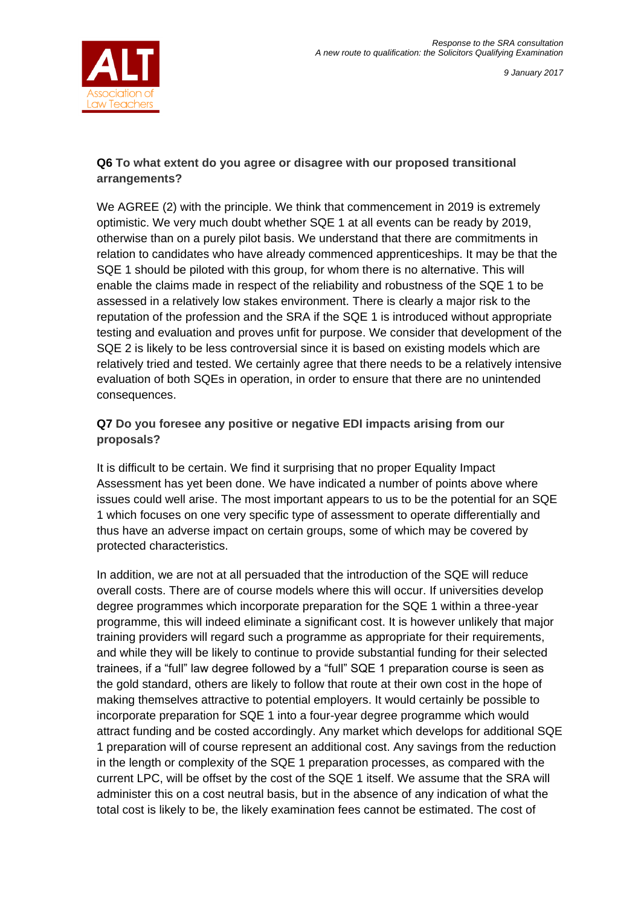# **Q6 To what extent do you agree or disagree with our proposed transitional arrangements?**

We AGREE (2) with the principle. We think that commencement in 2019 is extremely optimistic. We very much doubt whether SQE 1 at all events can be ready by 2019, otherwise than on a purely pilot basis. We understand that there are commitments in relation to candidates who have already commenced apprenticeships. It may be that the SQE 1 should be piloted with this group, for whom there is no alternative. This will enable the claims made in respect of the reliability and robustness of the SQE 1 to be assessed in a relatively low stakes environment. There is clearly a major risk to the reputation of the profession and the SRA if the SQE 1 is introduced without appropriate testing and evaluation and proves unfit for purpose. We consider that development of the SQE 2 is likely to be less controversial since it is based on existing models which are relatively tried and tested. We certainly agree that there needs to be a relatively intensive evaluation of both SQEs in operation, in order to ensure that there are no unintended consequences.

# **Q7 Do you foresee any positive or negative EDI impacts arising from our proposals?**

It is difficult to be certain. We find it surprising that no proper Equality Impact Assessment has yet been done. We have indicated a number of points above where issues could well arise. The most important appears to us to be the potential for an SQE 1 which focuses on one very specific type of assessment to operate differentially and thus have an adverse impact on certain groups, some of which may be covered by protected characteristics.

In addition, we are not at all persuaded that the introduction of the SQE will reduce overall costs. There are of course models where this will occur. If universities develop degree programmes which incorporate preparation for the SQE 1 within a three-year programme, this will indeed eliminate a significant cost. It is however unlikely that major training providers will regard such a programme as appropriate for their requirements, and while they will be likely to continue to provide substantial funding for their selected trainees, if a "full" law degree followed by a "full" SQE 1 preparation course is seen as the gold standard, others are likely to follow that route at their own cost in the hope of making themselves attractive to potential employers. It would certainly be possible to incorporate preparation for SQE 1 into a four-year degree programme which would attract funding and be costed accordingly. Any market which develops for additional SQE 1 preparation will of course represent an additional cost. Any savings from the reduction in the length or complexity of the SQE 1 preparation processes, as compared with the current LPC, will be offset by the cost of the SQE 1 itself. We assume that the SRA will administer this on a cost neutral basis, but in the absence of any indication of what the total cost is likely to be, the likely examination fees cannot be estimated. The cost of